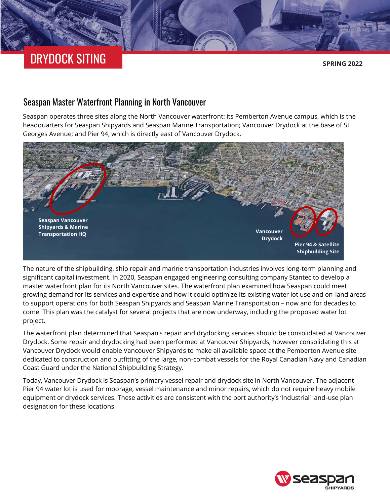# DRYDOCK SITING

**SPRING 2022**

### Seaspan Master Waterfront Planning in North Vancouver

Seaspan operates three sites along the North Vancouver waterfront: its Pemberton Avenue campus, which is the headquarters for Seaspan Shipyards and Seaspan Marine Transportation; Vancouver Drydock at the base of St Georges Avenue; and Pier 94, which is directly east of Vancouver Drydock.



The nature of the shipbuilding, ship repair and marine transportation industries involves long-term planning and significant capital investment. In 2020, Seaspan engaged engineering consulting company Stantec to develop a master waterfront plan for its North Vancouver sites. The waterfront plan examined how Seaspan could meet growing demand for its services and expertise and how it could optimize its existing water lot use and on-land areas to support operations for both Seaspan Shipyards and Seaspan Marine Transportation – now and for decades to come. This plan was the catalyst for several projects that are now underway, including the proposed water lot project.

The waterfront plan determined that Seaspan's repair and drydocking services should be consolidated at Vancouver Drydock. Some repair and drydocking had been performed at Vancouver Shipyards, however consolidating this at Vancouver Drydock would enable Vancouver Shipyards to make all available space at the Pemberton Avenue site dedicated to construction and outfitting of the large, non-combat vessels for the Royal Canadian Navy and Canadian Coast Guard under the National Shipbuilding Strategy.

Today, Vancouver Drydock is Seaspan's primary vessel repair and drydock site in North Vancouver. The adjacent Pier 94 water lot is used for moorage, vessel maintenance and minor repairs, which do not require heavy mobile equipment or drydock services. These activities are consistent with the port authority's 'Industrial' land-use plan designation for these locations.

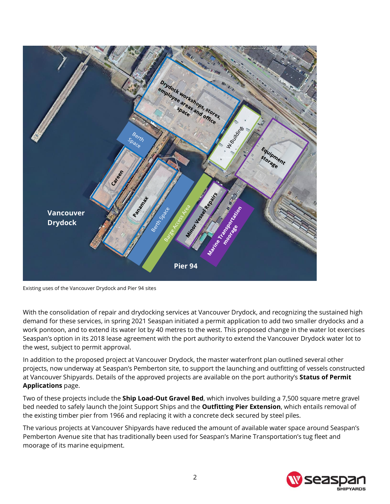

Existing uses of the Vancouver Drydock and Pier 94 sites

With the consolidation of repair and drydocking services at Vancouver Drydock, and recognizing the sustained high demand for these services, in spring 2021 Seaspan initiated a permit application to add two smaller drydocks and a work pontoon, and to extend its water lot by 40 metres to the west. This proposed change in the water lot exercises Seaspan's option in its 2018 lease agreement with the port authority to extend the Vancouver Drydock water lot to the west, subject to permit approval.

In addition to the proposed project at Vancouver Drydock, the master waterfront plan outlined several other projects, now underway at Seaspan's Pemberton site, to support the launching and outfitting of vessels constructed at Vancouver Shipyards. Details of the approved projects are available on the port authority's **[Status of Permit](https://www.portvancouver.com/permitting-and-reviews/per/project-and-environment-review-applicant/status-of-permit-applications/)  [Applications](https://www.portvancouver.com/permitting-and-reviews/per/project-and-environment-review-applicant/status-of-permit-applications/)** page.

Two of these projects include the **[Ship Load-Out Gravel Bed](https://www.portvancouver.com/permitting-and-reviews/per/project-and-environment-review-applicant/status-of-permit-applications/seaspan-ship-load-out-gravel-bed-and-shoreline-protection/)**, which involves building a 7,500 square metre gravel bed needed to safely launch the Joint Support Ships and the **[Outfitting Pier Extension](https://www.portvancouver.com/permitting-and-reviews/per/project-and-environment-review-applicant/status-of-permit-applications/seaspan-ulc-outfitting-pier-extension-project/)**, which entails removal of the existing timber pier from 1966 and replacing it with a concrete deck secured by steel piles.

The various projects at Vancouver Shipyards have reduced the amount of available water space around Seaspan's Pemberton Avenue site that has traditionally been used for Seaspan's Marine Transportation's tug fleet and moorage of its marine equipment.

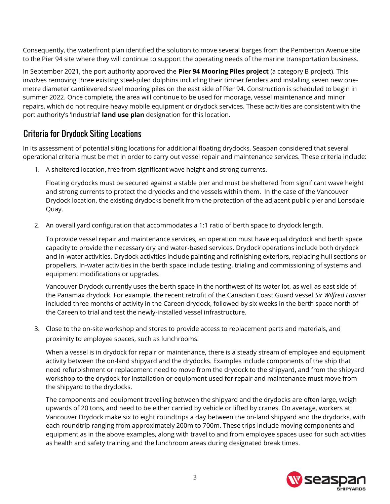Consequently, the waterfront plan identified the solution to move several barges from the Pemberton Avenue site to the Pier 94 site where they will continue to support the operating needs of the marine transportation business.

In September 2021, the port authority approved the **[Pier 94 Mooring Piles project](ttps://www.portvancouver.com/permitting-and-reviews/per/project-and-environment-review-applicant/status-of-permit-applications/seaspan-mooring-piles-at-pier-94/)** (a category B project). This involves removing three existing steel-piled dolphins including their timber fenders and installing seven new onemetre diameter cantilevered steel mooring piles on the east side of Pier 94. Construction is scheduled to begin in summer 2022. Once complete, the area will continue to be used for moorage, vessel maintenance and minor repairs, which do not require heavy mobile equipment or drydock services. These activities are consistent with the port authority's 'Industrial' **[land use plan](https://www.portvancouver.com/wp-content/uploads/2019/11/500_POV-Land-Use-Plan_FINAL-2.pdf)** designation for this location.

### Criteria for Drydock Siting Locations

In its assessment of potential siting locations for additional floating drydocks, Seaspan considered that several operational criteria must be met in order to carry out vessel repair and maintenance services. These criteria include:

1. A sheltered location, free from significant wave height and strong currents.

Floating drydocks must be secured against a stable pier and must be sheltered from significant wave height and strong currents to protect the drydocks and the vessels within them. In the case of the Vancouver Drydock location, the existing drydocks benefit from the protection of the adjacent public pier and Lonsdale Quay.

2. An overall yard configuration that accommodates a 1:1 ratio of berth space to drydock length.

To provide vessel repair and maintenance services, an operation must have equal drydock and berth space capacity to provide the necessary dry and water-based services. Drydock operations include both drydock and in-water activities. Drydock activities include painting and refinishing exteriors, replacing hull sections or propellers. In-water activities in the berth space include testing, trialing and commissioning of systems and equipment modifications or upgrades.

Vancouver Drydock currently uses the berth space in the northwest of its water lot, as well as east side of the Panamax drydock. For example, the recent retrofit of the Canadian Coast Guard vessel *Sir Wilfred Laurier* included three months of activity in the Careen drydock, followed by six weeks in the berth space north of the Careen to trial and test the newly-installed vessel infrastructure.

3. Close to the on-site workshop and stores to provide access to replacement parts and materials, and proximity to employee spaces, such as lunchrooms.

When a vessel is in drydock for repair or maintenance, there is a steady stream of employee and equipment activity between the on-land shipyard and the drydocks. Examples include components of the ship that need refurbishment or replacement need to move from the drydock to the shipyard, and from the shipyard workshop to the drydock for installation or equipment used for repair and maintenance must move from the shipyard to the drydocks.

The components and equipment travelling between the shipyard and the drydocks are often large, weigh upwards of 20 tons, and need to be either carried by vehicle or lifted by cranes. On average, workers at Vancouver Drydock make six to eight roundtrips a day between the on-land shipyard and the drydocks, with each roundtrip ranging from approximately 200m to 700m. These trips include moving components and equipment as in the above examples, along with travel to and from employee spaces used for such activities as health and safety training and the lunchroom areas during designated break times.

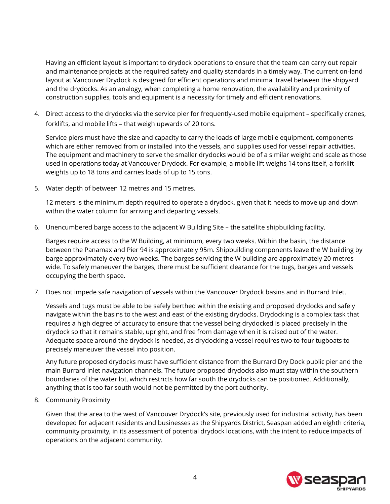Having an efficient layout is important to drydock operations to ensure that the team can carry out repair and maintenance projects at the required safety and quality standards in a timely way. The current on-land layout at Vancouver Drydock is designed for efficient operations and minimal travel between the shipyard and the drydocks. As an analogy, when completing a home renovation, the availability and proximity of construction supplies, tools and equipment is a necessity for timely and efficient renovations.

4. Direct access to the drydocks via the service pier for frequently-used mobile equipment – specifically cranes, forklifts, and mobile lifts – that weigh upwards of 20 tons.

Service piers must have the size and capacity to carry the loads of large mobile equipment, components which are either removed from or installed into the vessels, and supplies used for vessel repair activities. The equipment and machinery to serve the smaller drydocks would be of a similar weight and scale as those used in operations today at Vancouver Drydock. For example, a mobile lift weighs 14 tons itself, a forklift weights up to 18 tons and carries loads of up to 15 tons.

5. Water depth of between 12 metres and 15 metres.

12 meters is the minimum depth required to operate a drydock, given that it needs to move up and down within the water column for arriving and departing vessels.

6. Unencumbered barge access to the adjacent W Building Site – the satellite shipbuilding facility.

Barges require access to the W Building, at minimum, every two weeks. Within the basin, the distance between the Panamax and Pier 94 is approximately 95m. Shipbuilding components leave the W building by barge approximately every two weeks. The barges servicing the W building are approximately 20 metres wide. To safely maneuver the barges, there must be sufficient clearance for the tugs, barges and vessels occupying the berth space.

7. Does not impede safe navigation of vessels within the Vancouver Drydock basins and in Burrard Inlet.

Vessels and tugs must be able to be safely berthed within the existing and proposed drydocks and safely navigate within the basins to the west and east of the existing drydocks. Drydocking is a complex task that requires a high degree of accuracy to ensure that the vessel being drydocked is placed precisely in the drydock so that it remains stable, upright, and free from damage when it is raised out of the water. Adequate space around the drydock is needed, as drydocking a vessel requires two to four tugboats to precisely maneuver the vessel into position.

Any future proposed drydocks must have sufficient distance from the Burrard Dry Dock public pier and the main Burrard Inlet navigation channels. The future proposed drydocks also must stay within the southern boundaries of the water lot, which restricts how far south the drydocks can be positioned. Additionally, anything that is too far south would not be permitted by the port authority.

8. Community Proximity

Given that the area to the west of Vancouver Drydock's site, previously used for industrial activity, has been developed for adjacent residents and businesses as the Shipyards District, Seaspan added an eighth criteria, community proximity, in its assessment of potential drydock locations, with the intent to reduce impacts of operations on the adjacent community.

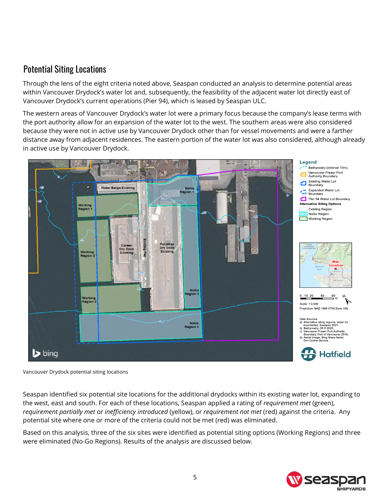### Potential Siting Locations

Through the lens of the eight criteria noted above, Seaspan conducted an analysis to determine potential areas within Vancouver Drydock's water lot and, subsequently, the feasibility of the adjacent water lot directly east of Vancouver Drydock's current operations (Pier 94), which is leased by Seaspan ULC.

The western areas of Vancouver Drydock's water lot were a primary focus because the company's lease terms with the port authority allow for an expansion of the water lot to the west. The southern areas were also considered because they were not in active use by Vancouver Drydock other than for vessel movements and were a farther distance away from adjacent residences. The eastern portion of the water lot was also considered, although already in active use by Vancouver Drydock.



Vancouver Drydock potential siting locations

Seaspan identified six potential site locations for the additional drydocks within its existing water lot, expanding to the west, east and south. For each of these locations, Seaspan applied a rating of *requirement met* (green), *requirement partially met* or *inefficiency introduced* (yellow), or *requirement not met* (red) against the criteria. Any potential site where one or more of the criteria could not be met (red) was eliminated.

Based on this analysis, three of the six sites were identified as potential siting options (Working Regions) and three were eliminated (No-Go Regions). Results of the analysis are discussed below.

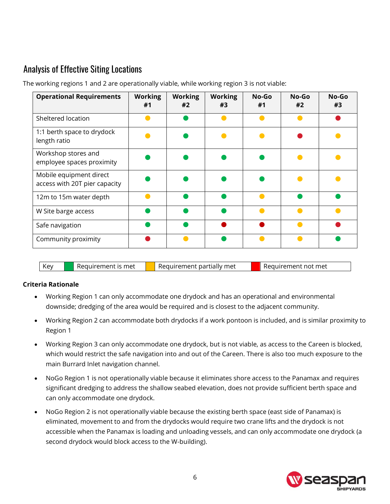## Analysis of Effective Siting Locations

| <b>Operational Requirements</b>                          | <b>Working</b><br>#1 | <b>Working</b><br>#2 | <b>Working</b><br>#3 | No-Go<br>#1 | No-Go<br>#2 | No-Go<br>#3 |
|----------------------------------------------------------|----------------------|----------------------|----------------------|-------------|-------------|-------------|
| Sheltered location                                       |                      |                      | c                    |             |             |             |
| 1:1 berth space to drydock<br>length ratio               |                      |                      |                      |             |             |             |
| Workshop stores and<br>employee spaces proximity         |                      |                      |                      |             |             |             |
| Mobile equipment direct<br>access with 20T pier capacity |                      |                      |                      |             |             |             |
| 12m to 15m water depth                                   |                      |                      |                      |             |             |             |
| W Site barge access                                      |                      |                      |                      |             |             |             |
| Safe navigation                                          |                      |                      |                      |             |             |             |
| Community proximity                                      |                      |                      |                      |             |             |             |

The working regions 1 and 2 are operationally viable, while working region 3 is not viable:

| <b>Key</b> | Requirement is met | Requirement partially met | Requirement not met |
|------------|--------------------|---------------------------|---------------------|
|            |                    |                           |                     |

#### **Criteria Rationale**

- Working Region 1 can only accommodate one drydock and has an operational and environmental downside; dredging of the area would be required and is closest to the adjacent community.
- Working Region 2 can accommodate both drydocks if a work pontoon is included, and is similar proximity to Region 1
- Working Region 3 can only accommodate one drydock, but is not viable, as access to the Careen is blocked, which would restrict the safe navigation into and out of the Careen. There is also too much exposure to the main Burrard Inlet navigation channel.
- NoGo Region 1 is not operationally viable because it eliminates shore access to the Panamax and requires significant dredging to address the shallow seabed elevation, does not provide sufficient berth space and can only accommodate one drydock.
- NoGo Region 2 is not operationally viable because the existing berth space (east side of Panamax) is eliminated, movement to and from the drydocks would require two crane lifts and the drydock is not accessible when the Panamax is loading and unloading vessels, and can only accommodate one drydock (a second drydock would block access to the W-building).

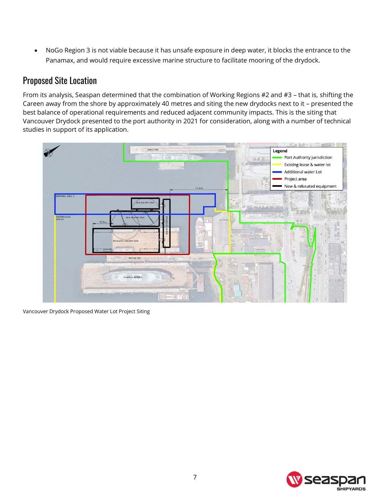• NoGo Region 3 is not viable because it has unsafe exposure in deep water, it blocks the entrance to the Panamax, and would require excessive marine structure to facilitate mooring of the drydock.

### Proposed Site Location

From its analysis, Seaspan determined that the combination of Working Regions #2 and #3 – that is, shifting the Careen away from the shore by approximately 40 metres and siting the new drydocks next to it – presented the best balance of operational requirements and reduced adjacent community impacts. This is the siting that Vancouver Drydock presented to the port authority in 2021 for consideration, along with a number of technical studies in support of its application.



Vancouver Drydock Proposed Water Lot Project Siting

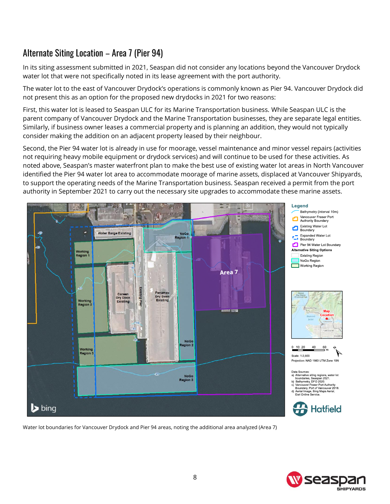# Alternate Siting Location – Area 7 (Pier 94)

In its siting assessment submitted in 2021, Seaspan did not consider any locations beyond the Vancouver Drydock water lot that were not specifically noted in its lease agreement with the port authority.

The water lot to the east of Vancouver Drydock's operations is commonly known as Pier 94. Vancouver Drydock did not present this as an option for the proposed new drydocks in 2021 for two reasons:

First, this water lot is leased to Seaspan ULC for its Marine Transportation business. While Seaspan ULC is the parent company of Vancouver Drydock and the Marine Transportation businesses, they are separate legal entities. Similarly, if business owner leases a commercial property and is planning an addition, they would not typically consider making the addition on an adjacent property leased by their neighbour.

Second, the Pier 94 water lot is already in use for moorage, vessel maintenance and minor vessel repairs (activities not requiring heavy mobile equipment or drydock services) and will continue to be used for these activities. As noted above, Seaspan's master waterfront plan to make the best use of existing water lot areas in North Vancouver identified the Pier 94 water lot area to accommodate moorage of marine assets, displaced at Vancouver Shipyards, to support the operating needs of the Marine Transportation business. Seaspan received a permit from the port authority in September 2021 to carry out the necessary site upgrades to accommodate these marine assets.



Water lot boundaries for Vancouver Drydock and Pier 94 areas, noting the additional area analyzed (Area 7)

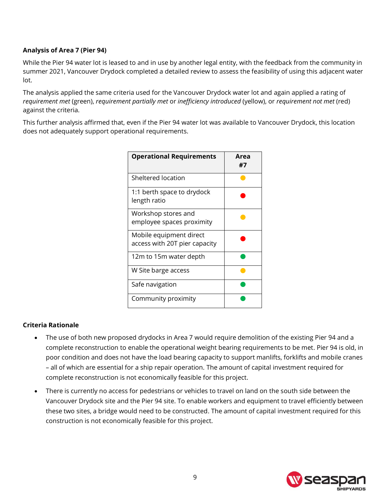#### **Analysis of Area 7 (Pier 94)**

While the Pier 94 water lot is leased to and in use by another legal entity, with the feedback from the community in summer 2021, Vancouver Drydock completed a detailed review to assess the feasibility of using this adjacent water lot.

The analysis applied the same criteria used for the Vancouver Drydock water lot and again applied a rating of *requirement met* (green), *requirement partially met* or *inefficiency introduced* (yellow), or *requirement not met* (red) against the criteria.

This further analysis affirmed that, even if the Pier 94 water lot was available to Vancouver Drydock, this location does not adequately support operational requirements.

| <b>Operational Requirements</b>                          | Area<br>#7 |
|----------------------------------------------------------|------------|
| Sheltered location                                       |            |
| 1:1 berth space to drydock<br>length ratio               |            |
| Workshop stores and<br>employee spaces proximity         |            |
| Mobile equipment direct<br>access with 20T pier capacity |            |
| 12m to 15m water depth                                   |            |
| W Site barge access                                      |            |
| Safe navigation                                          |            |
| Community proximity                                      |            |

#### **Criteria Rationale**

- The use of both new proposed drydocks in Area 7 would require demolition of the existing Pier 94 and a complete reconstruction to enable the operational weight bearing requirements to be met. Pier 94 is old, in poor condition and does not have the load bearing capacity to support manlifts, forklifts and mobile cranes – all of which are essential for a ship repair operation. The amount of capital investment required for complete reconstruction is not economically feasible for this project.
- There is currently no access for pedestrians or vehicles to travel on land on the south side between the Vancouver Drydock site and the Pier 94 site. To enable workers and equipment to travel efficiently between these two sites, a bridge would need to be constructed. The amount of capital investment required for this construction is not economically feasible for this project.